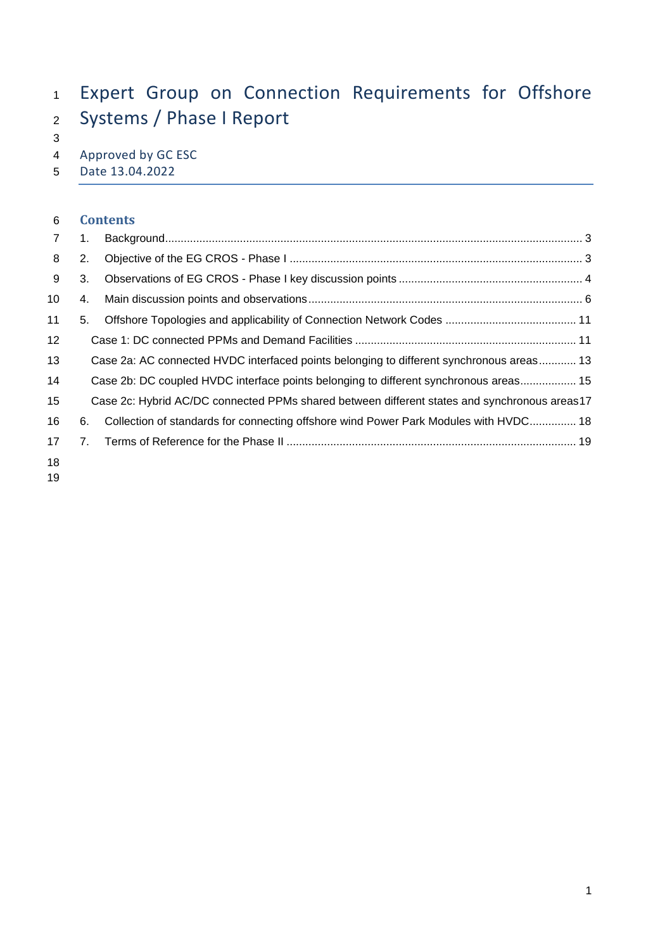# Expert Group on Connection Requirements for Offshore Systems / Phase I Report

4 Approved by GC ESC<br>5 Date 13.04.2022

Date 13.04.2022

#### **Contents**

| 7               | 1. |                                                                                              |  |
|-----------------|----|----------------------------------------------------------------------------------------------|--|
| 8               | 2. |                                                                                              |  |
| 9               | 3. |                                                                                              |  |
| 10              | 4. |                                                                                              |  |
| 11              | 5. |                                                                                              |  |
| 12 <sub>2</sub> |    |                                                                                              |  |
| 13              |    | Case 2a: AC connected HVDC interfaced points belonging to different synchronous areas 13     |  |
| 14              |    | Case 2b: DC coupled HVDC interface points belonging to different synchronous areas 15        |  |
| 15              |    | Case 2c: Hybrid AC/DC connected PPMs shared between different states and synchronous areas17 |  |
| 16              | 6. | Collection of standards for connecting offshore wind Power Park Modules with HVDC 18         |  |
| 17              |    |                                                                                              |  |
| 18              |    |                                                                                              |  |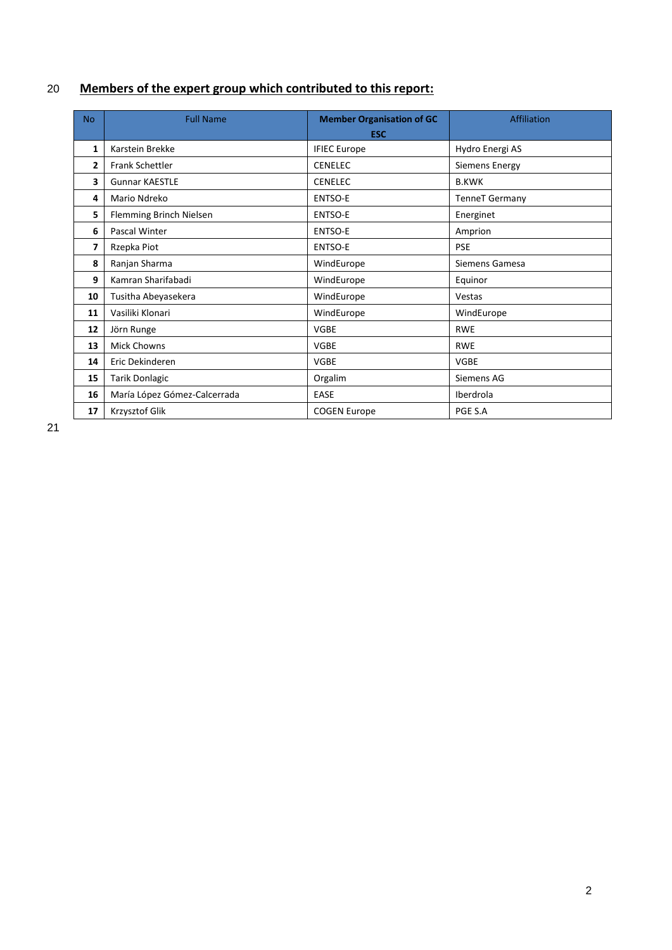# **Members of the expert group which contributed to this report:**

| <b>No</b> | <b>Full Name</b>             | <b>Member Organisation of GC</b><br><b>ESC</b> | Affiliation           |
|-----------|------------------------------|------------------------------------------------|-----------------------|
| 1         | Karstein Brekke              | <b>IFIEC Europe</b>                            | Hydro Energi AS       |
| 2         | <b>Frank Schettler</b>       | <b>CENELEC</b>                                 | Siemens Energy        |
| 3         | <b>Gunnar KAESTLE</b>        | <b>CENELEC</b>                                 | <b>B.KWK</b>          |
| 4         | Mario Ndreko                 | ENTSO-E                                        | <b>TenneT</b> Germany |
| 5         | Flemming Brinch Nielsen      | ENTSO-E                                        | Energinet             |
| 6         | Pascal Winter                | ENTSO-E                                        | Amprion               |
| 7         | Rzepka Piot                  | ENTSO-E                                        | <b>PSE</b>            |
| 8         | Ranjan Sharma                | WindEurope                                     | Siemens Gamesa        |
| 9         | Kamran Sharifabadi           | WindEurope                                     | Equinor               |
| 10        | Tusitha Abeyasekera          | WindEurope                                     | Vestas                |
| 11        | Vasiliki Klonari             | WindEurope                                     | WindEurope            |
| 12        | Jörn Runge                   | <b>VGBE</b>                                    | <b>RWE</b>            |
| 13        | <b>Mick Chowns</b>           | <b>VGBE</b>                                    | <b>RWE</b>            |
| 14        | Eric Dekinderen              | <b>VGBE</b>                                    | <b>VGBE</b>           |
| 15        | <b>Tarik Donlagic</b>        | Orgalim                                        | Siemens AG            |
| 16        | María López Gómez-Calcerrada | EASE                                           | Iberdrola             |
| 17        | Krzysztof Glik               | <b>COGEN Europe</b>                            | PGE S.A               |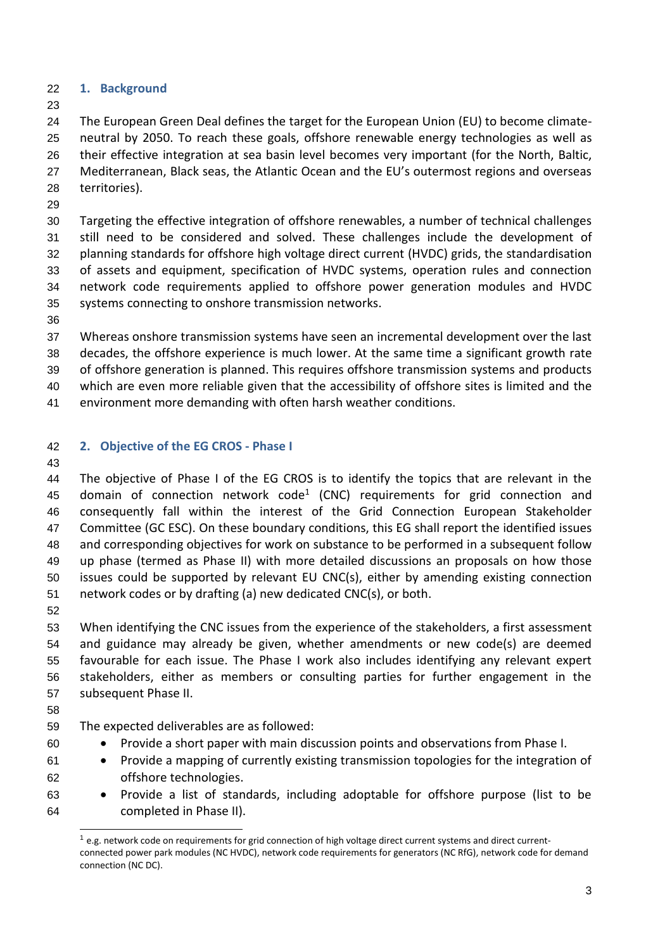- <span id="page-2-0"></span>**1. Background**
- 

 The European Green Deal defines the target for the European Union (EU) to become climate- neutral by 2050. To reach these goals, offshore renewable energy technologies as well as their effective integration at sea basin level becomes very important (for the North, Baltic, Mediterranean, Black seas, the Atlantic Ocean and the EU's outermost regions and overseas territories).

 Targeting the effective integration of offshore renewables, a number of technical challenges still need to be considered and solved. These challenges include the development of planning standards for offshore high voltage direct current (HVDC) grids, the standardisation of assets and equipment, specification of HVDC systems, operation rules and connection network code requirements applied to offshore power generation modules and HVDC systems connecting to onshore transmission networks.

 Whereas onshore transmission systems have seen an incremental development over the last decades, the offshore experience is much lower. At the same time a significant growth rate of offshore generation is planned. This requires offshore transmission systems and products which are even more reliable given that the accessibility of offshore sites is limited and the environment more demanding with often harsh weather conditions.

## <span id="page-2-1"></span>**2. Objective of the EG CROS - Phase I**

 The objective of Phase I of the EG CROS is to identify the topics that are relevant in the 45 domain of connection network code<sup>1</sup> (CNC) requirements for grid connection and consequently fall within the interest of the Grid Connection European Stakeholder Committee (GC ESC). On these boundary conditions, this EG shall report the identified issues and corresponding objectives for work on substance to be performed in a subsequent follow up phase (termed as Phase II) with more detailed discussions an proposals on how those issues could be supported by relevant EU CNC(s), either by amending existing connection network codes or by drafting (a) new dedicated CNC(s), or both. 

- When identifying the CNC issues from the experience of the stakeholders, a first assessment and guidance may already be given, whether amendments or new code(s) are deemed favourable for each issue. The Phase I work also includes identifying any relevant expert stakeholders, either as members or consulting parties for further engagement in the subsequent Phase II.
- 
- The expected deliverables are as followed:
- Provide a short paper with main discussion points and observations from Phase I.
- Provide a mapping of currently existing transmission topologies for the integration of offshore technologies.
- Provide a list of standards, including adoptable for offshore purpose (list to be completed in Phase II).

 e.g. network code on requirements for grid connection of high voltage direct current systems and direct currentconnected power park modules (NC HVDC), network code requirements for generators (NC RfG), network code for demand connection (NC DC).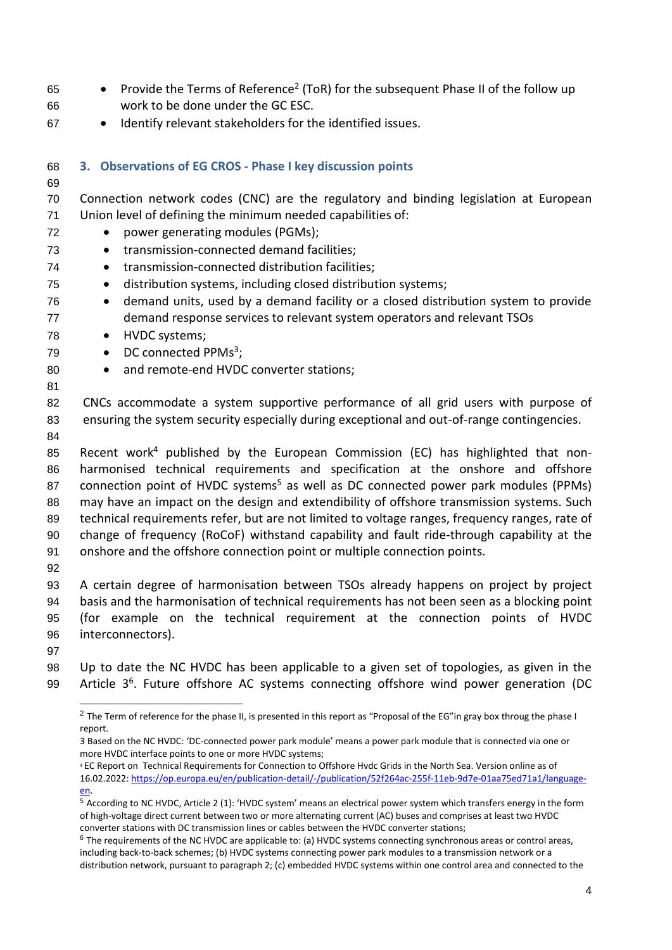- Provide the Terms of Reference<sup>2</sup> (ToR) for the subsequent Phase II of the follow up work to be done under the GC ESC.
- <span id="page-3-0"></span>• Identify relevant stakeholders for the identified issues.

| 68       | 3. Observations of EG CROS - Phase I key discussion points                                      |
|----------|-------------------------------------------------------------------------------------------------|
| 69       |                                                                                                 |
| 70       | Connection network codes (CNC) are the regulatory and binding legislation at European           |
| 71       | Union level of defining the minimum needed capabilities of:                                     |
| 72       | power generating modules (PGMs);<br>$\bullet$                                                   |
| 73       | transmission-connected demand facilities;<br>$\bullet$                                          |
| 74       | transmission-connected distribution facilities;<br>$\bullet$                                    |
| 75       | distribution systems, including closed distribution systems;<br>$\bullet$                       |
| 76       | demand units, used by a demand facility or a closed distribution system to provide<br>$\bullet$ |
| 77       | demand response services to relevant system operators and relevant TSOs                         |
| 78       | HVDC systems;<br>$\bullet$                                                                      |
| 79       | DC connected PPMs <sup>3</sup> ;<br>$\bullet$                                                   |
| 80       | and remote-end HVDC converter stations;<br>$\bullet$                                            |
| 81       |                                                                                                 |
| 82       | CNCs accommodate a system supportive performance of all grid users with purpose of              |
| 83       | ensuring the system security especially during exceptional and out-of-range contingencies.      |
| 84       | Recent work <sup>4</sup> published by the European Commission (EC) has highlighted that non-    |
| 85<br>86 | harmonised technical requirements and specification at the onshore and offshore                 |
| 87       | connection point of HVDC systems <sup>5</sup> as well as DC connected power park modules (PPMs) |
| 88       | may have an impact on the design and extendibility of offshore transmission systems. Such       |
| 89       | technical requirements refer, but are not limited to voltage ranges, frequency ranges, rate of  |
| 90       | change of frequency (RoCoF) withstand capability and fault ride-through capability at the       |
| 91       | onshore and the offshore connection point or multiple connection points.                        |
| 92       |                                                                                                 |
| 93       | A certain degree of harmonisation between TSOs already happens on project by project            |
| 94       | basis and the harmonisation of technical requirements has not been seen as a blocking point     |
| 95       | (for example on the technical requirement at the connection points of HVDC                      |
| 96       | interconnectors).                                                                               |

 Up to date the NC HVDC has been applicable to a given set of topologies, as given in the 99 Article 3<sup>6</sup>. Future offshore AC systems connecting offshore wind power generation (DC

<sup>&</sup>lt;sup>2</sup> The Term of reference for the phase II, is presented in this report as "Proposal of the EG"in gray box throug the phase I report.

 Based on the NC HVDC: 'DC-connected power park module' means a power park module that is connected via one or more HVDC interface points to one or more HVDC systems;

 EC Report on Technical Requirements for Connection to Offshore Hvdc Grids in the North Sea. Version online as of 16.02.2022[: https://op.europa.eu/en/publication-detail/-/publication/52f264ac-255f-11eb-9d7e-01aa75ed71a1/language](https://op.europa.eu/en/publication-detail/-/publication/52f264ac-255f-11eb-9d7e-01aa75ed71a1/language-en)[en.](https://op.europa.eu/en/publication-detail/-/publication/52f264ac-255f-11eb-9d7e-01aa75ed71a1/language-en)

 According to NC HVDC, Article 2 (1): 'HVDC system' means an electrical power system which transfers energy in the form of high-voltage direct current between two or more alternating current (AC) buses and comprises at least two HVDC converter stations with DC transmission lines or cables between the HVDC converter stations;

 The requirements of the NC HVDC are applicable to: (a) HVDC systems connecting synchronous areas or control areas, including back-to-back schemes; (b) HVDC systems connecting power park modules to a transmission network or a distribution network, pursuant to paragraph 2; (c) embedded HVDC systems within one control area and connected to the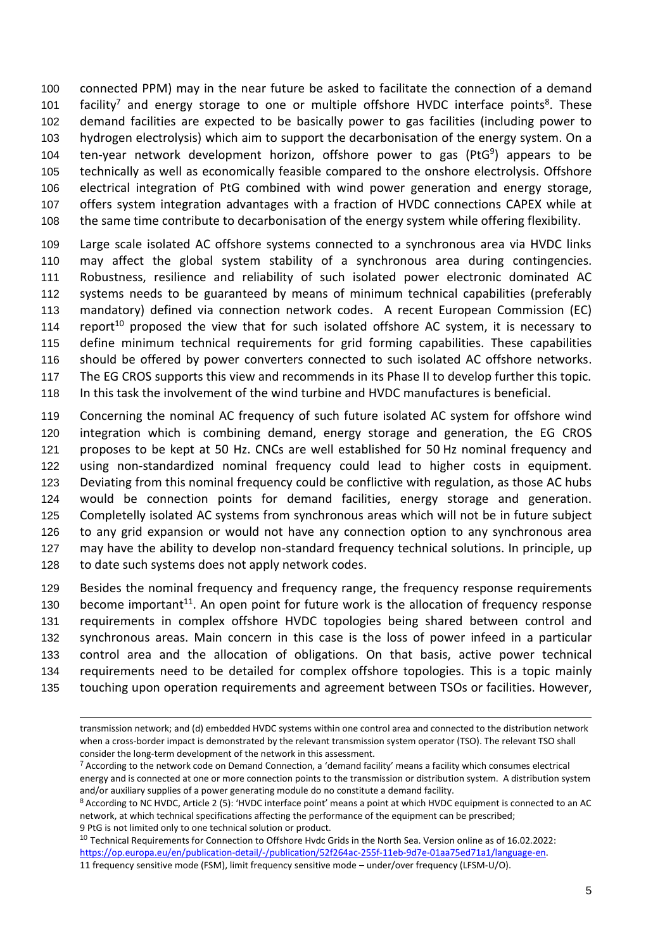connected PPM) may in the near future be asked to facilitate the connection of a demand 101 facility<sup>7</sup> and energy storage to one or multiple offshore HVDC interface points<sup>8</sup>. These demand facilities are expected to be basically power to gas facilities (including power to hydrogen electrolysis) which aim to support the decarbonisation of the energy system. On a 104 ten-year network development horizon, offshore power to gas (PtG) appears to be technically as well as economically feasible compared to the onshore electrolysis. Offshore electrical integration of PtG combined with wind power generation and energy storage, offers system integration advantages with a fraction of HVDC connections CAPEX while at 108 the same time contribute to decarbonisation of the energy system while offering flexibility.

 Large scale isolated AC offshore systems connected to a synchronous area via HVDC links may affect the global system stability of a synchronous area during contingencies. Robustness, resilience and reliability of such isolated power electronic dominated AC systems needs to be guaranteed by means of minimum technical capabilities (preferably mandatory) defined via connection network codes. A recent European Commission (EC) 114 report<sup>10</sup> proposed the view that for such isolated offshore AC system, it is necessary to define minimum technical requirements for grid forming capabilities. These capabilities should be offered by power converters connected to such isolated AC offshore networks. The EG CROS supports this view and recommends in its Phase II to develop further this topic. In this task the involvement of the wind turbine and HVDC manufactures is beneficial.

 Concerning the nominal AC frequency of such future isolated AC system for offshore wind integration which is combining demand, energy storage and generation, the EG CROS proposes to be kept at 50 Hz. CNCs are well established for 50 Hz nominal frequency and using non-standardized nominal frequency could lead to higher costs in equipment. Deviating from this nominal frequency could be conflictive with regulation, as those AC hubs would be connection points for demand facilities, energy storage and generation. Completelly isolated AC systems from synchronous areas which will not be in future subject to any grid expansion or would not have any connection option to any synchronous area may have the ability to develop non-standard frequency technical solutions. In principle, up to date such systems does not apply network codes.

 Besides the nominal frequency and frequency range, the frequency response requirements 130 become important<sup>11</sup>. An open point for future work is the allocation of frequency response requirements in complex offshore HVDC topologies being shared between control and synchronous areas. Main concern in this case is the loss of power infeed in a particular control area and the allocation of obligations. On that basis, active power technical requirements need to be detailed for complex offshore topologies. This is a topic mainly touching upon operation requirements and agreement between TSOs or facilities. However,

<sup>10</sup> Technical Requirements for Connection to Offshore Hvdc Grids in the North Sea. Version online as of 16.02.2022: [https://op.europa.eu/en/publication-detail/-/publication/52f264ac-255f-11eb-9d7e-01aa75ed71a1/language-en.](https://op.europa.eu/en/publication-detail/-/publication/52f264ac-255f-11eb-9d7e-01aa75ed71a1/language-en)

transmission network; and (d) embedded HVDC systems within one control area and connected to the distribution network when a cross-border impact is demonstrated by the relevant transmission system operator (TSO). The relevant TSO shall consider the long-term development of the network in this assessment.

 According to the network code on Demand Connection, a 'demand facility' means a facility which consumes electrical energy and is connected at one or more connection points to the transmission or distribution system. A distribution system and/or auxiliary supplies of a power generating module do no constitute a demand facility.

<sup>8</sup> According to NC HVDC, Article 2 (5): 'HVDC interface point' means a point at which HVDC equipment is connected to an AC network, at which technical specifications affecting the performance of the equipment can be prescribed; PtG is not limited only to one technical solution or product.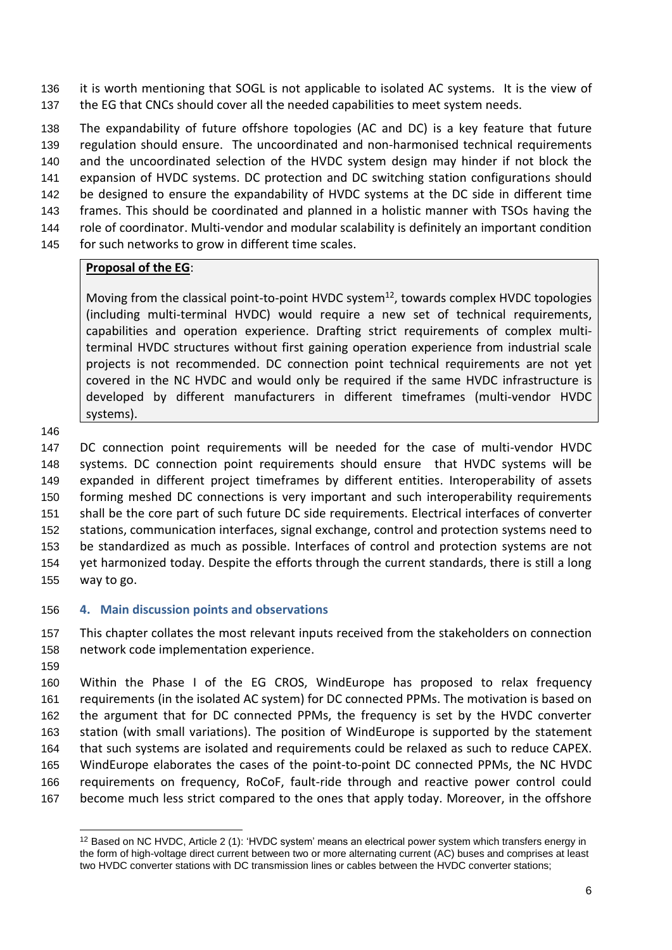it is worth mentioning that SOGL is not applicable to isolated AC systems. It is the view of 137 the EG that CNCs should cover all the needed capabilities to meet system needs.

 The expandability of future offshore topologies (AC and DC) is a key feature that future regulation should ensure. The uncoordinated and non-harmonised technical requirements and the uncoordinated selection of the HVDC system design may hinder if not block the expansion of HVDC systems. DC protection and DC switching station configurations should be designed to ensure the expandability of HVDC systems at the DC side in different time frames. This should be coordinated and planned in a holistic manner with TSOs having the role of coordinator. Multi-vendor and modular scalability is definitely an important condition 145 for such networks to grow in different time scales.

#### **Proposal of the EG**:

Moving from the classical point-to-point HVDC system<sup>12</sup>, towards complex HVDC topologies (including multi-terminal HVDC) would require a new set of technical requirements, capabilities and operation experience. Drafting strict requirements of complex multiterminal HVDC structures without first gaining operation experience from industrial scale projects is not recommended. DC connection point technical requirements are not yet covered in the NC HVDC and would only be required if the same HVDC infrastructure is developed by different manufacturers in different timeframes (multi-vendor HVDC systems).

 DC connection point requirements will be needed for the case of multi-vendor HVDC systems. DC connection point requirements should ensure that HVDC systems will be expanded in different project timeframes by different entities. Interoperability of assets forming meshed DC connections is very important and such interoperability requirements shall be the core part of such future DC side requirements. Electrical interfaces of converter stations, communication interfaces, signal exchange, control and protection systems need to be standardized as much as possible. Interfaces of control and protection systems are not yet harmonized today. Despite the efforts through the current standards, there is still a long way to go.

#### <span id="page-5-0"></span>**4. Main discussion points and observations**

 This chapter collates the most relevant inputs received from the stakeholders on connection network code implementation experience.

 Within the Phase I of the EG CROS, WindEurope has proposed to relax frequency requirements (in the isolated AC system) for DC connected PPMs. The motivation is based on the argument that for DC connected PPMs, the frequency is set by the HVDC converter station (with small variations). The position of WindEurope is supported by the statement that such systems are isolated and requirements could be relaxed as such to reduce CAPEX. WindEurope elaborates the cases of the point-to-point DC connected PPMs, the NC HVDC requirements on frequency, RoCoF, fault-ride through and reactive power control could become much less strict compared to the ones that apply today. Moreover, in the offshore

<sup>&</sup>lt;sup>12</sup> Based on NC HVDC, Article 2 (1): 'HVDC system' means an electrical power system which transfers energy in the form of high-voltage direct current between two or more alternating current (AC) buses and comprises at least two HVDC converter stations with DC transmission lines or cables between the HVDC converter stations;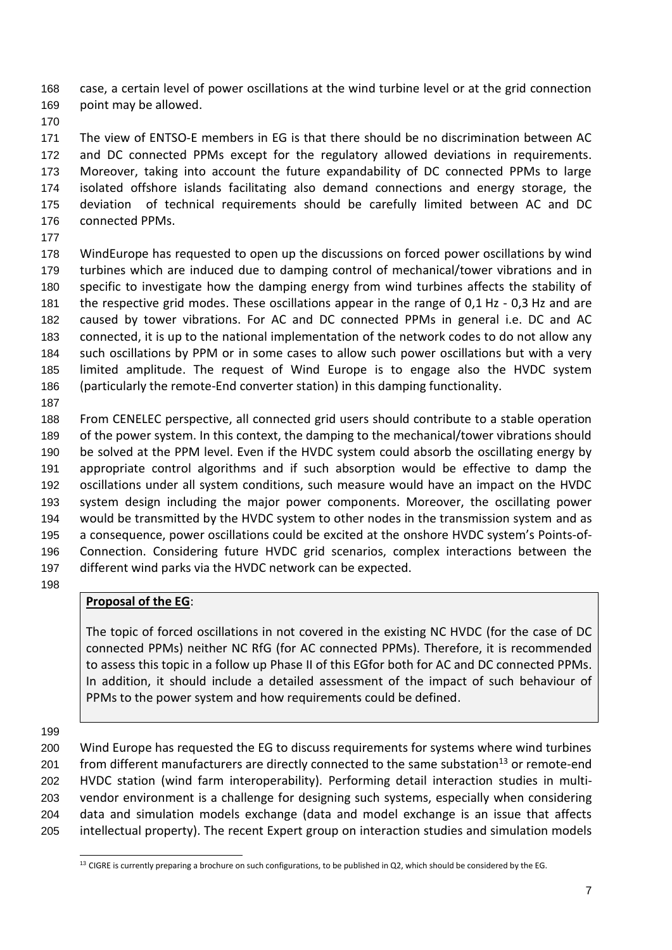case, a certain level of power oscillations at the wind turbine level or at the grid connection point may be allowed.

 The view of ENTSO-E members in EG is that there should be no discrimination between AC and DC connected PPMs except for the regulatory allowed deviations in requirements. Moreover, taking into account the future expandability of DC connected PPMs to large isolated offshore islands facilitating also demand connections and energy storage, the deviation of technical requirements should be carefully limited between AC and DC connected PPMs.

 WindEurope has requested to open up the discussions on forced power oscillations by wind turbines which are induced due to damping control of mechanical/tower vibrations and in specific to investigate how the damping energy from wind turbines affects the stability of the respective grid modes. These oscillations appear in the range of 0,1 Hz - 0,3 Hz and are caused by tower vibrations. For AC and DC connected PPMs in general i.e. DC and AC connected, it is up to the national implementation of the network codes to do not allow any such oscillations by PPM or in some cases to allow such power oscillations but with a very limited amplitude. The request of Wind Europe is to engage also the HVDC system (particularly the remote-End converter station) in this damping functionality.

 From CENELEC perspective, all connected grid users should contribute to a stable operation of the power system. In this context, the damping to the mechanical/tower vibrations should be solved at the PPM level. Even if the HVDC system could absorb the oscillating energy by appropriate control algorithms and if such absorption would be effective to damp the oscillations under all system conditions, such measure would have an impact on the HVDC system design including the major power components. Moreover, the oscillating power would be transmitted by the HVDC system to other nodes in the transmission system and as a consequence, power oscillations could be excited at the onshore HVDC system's Points-of- Connection. Considering future HVDC grid scenarios, complex interactions between the different wind parks via the HVDC network can be expected.

### **Proposal of the EG**:

The topic of forced oscillations in not covered in the existing NC HVDC (for the case of DC connected PPMs) neither NC RfG (for AC connected PPMs). Therefore, it is recommended to assess this topic in a follow up Phase II of this EGfor both for AC and DC connected PPMs. In addition, it should include a detailed assessment of the impact of such behaviour of PPMs to the power system and how requirements could be defined.

 Wind Europe has requested the EG to discuss requirements for systems where wind turbines 201 from different manufacturers are directly connected to the same substation<sup>13</sup> or remote-end HVDC station (wind farm interoperability). Performing detail interaction studies in multi- vendor environment is a challenge for designing such systems, especially when considering data and simulation models exchange (data and model exchange is an issue that affects intellectual property). The recent Expert group on interaction studies and simulation models

CIGRE is currently preparing a brochure on such configurations, to be published in Q2, which should be considered by the EG.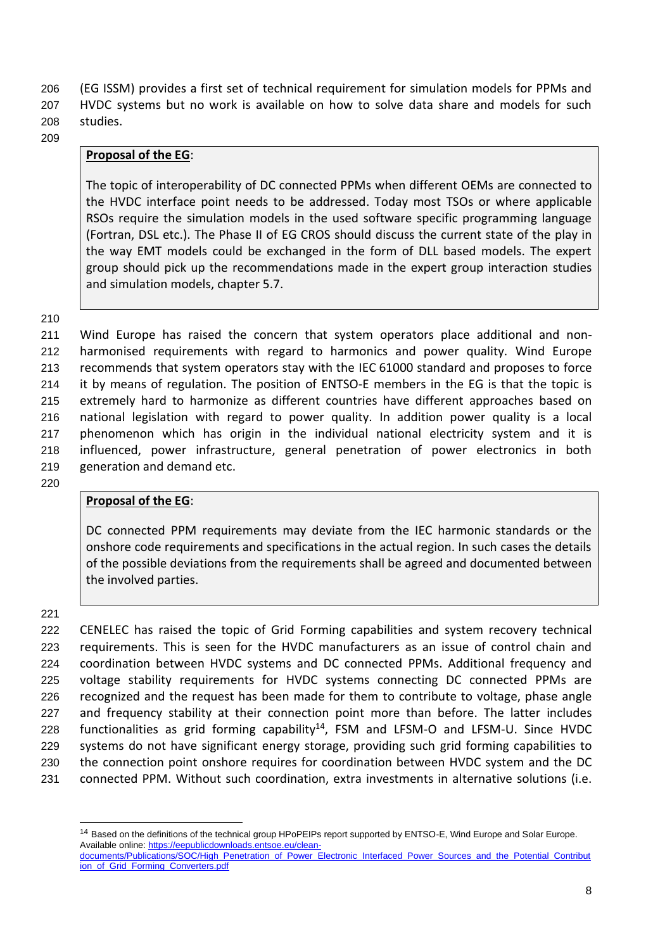206 (EG ISSM) provides a first set of technical requirement for simulation models for PPMs and 207 HVDC systems but no work is available on how to solve data share and models for such 208 studies.

209

#### **Proposal of the EG**:

The topic of interoperability of DC connected PPMs when different OEMs are connected to the HVDC interface point needs to be addressed. Today most TSOs or where applicable RSOs require the simulation models in the used software specific programming language (Fortran, DSL etc.). The Phase II of EG CROS should discuss the current state of the play in the way EMT models could be exchanged in the form of DLL based models. The expert group should pick up the recommendations made in the expert group interaction studies and simulation models, chapter 5.7.

210

 Wind Europe has raised the concern that system operators place additional and non- harmonised requirements with regard to harmonics and power quality. Wind Europe recommends that system operators stay with the IEC 61000 standard and proposes to force it by means of regulation. The position of ENTSO-E members in the EG is that the topic is extremely hard to harmonize as different countries have different approaches based on national legislation with regard to power quality. In addition power quality is a local phenomenon which has origin in the individual national electricity system and it is influenced, power infrastructure, general penetration of power electronics in both generation and demand etc.

220

#### **Proposal of the EG**:

DC connected PPM requirements may deviate from the IEC harmonic standards or the onshore code requirements and specifications in the actual region. In such cases the details of the possible deviations from the requirements shall be agreed and documented between the involved parties.

221

 CENELEC has raised the topic of Grid Forming capabilities and system recovery technical requirements. This is seen for the HVDC manufacturers as an issue of control chain and coordination between HVDC systems and DC connected PPMs. Additional frequency and voltage stability requirements for HVDC systems connecting DC connected PPMs are recognized and the request has been made for them to contribute to voltage, phase angle and frequency stability at their connection point more than before. The latter includes 228 functionalities as grid forming capability<sup>14</sup>, FSM and LFSM-O and LFSM-U. Since HVDC systems do not have significant energy storage, providing such grid forming capabilities to the connection point onshore requires for coordination between HVDC system and the DC connected PPM. Without such coordination, extra investments in alternative solutions (i.e.

<sup>&</sup>lt;sup>14</sup> Based on the definitions of the technical group HPoPEIPs report supported by ENTSO-E, Wind Europe and Solar Europe. Available online[: https://eepublicdownloads.entsoe.eu/clean](https://eepublicdownloads.entsoe.eu/clean-documents/Publications/SOC/High_Penetration_of_Power_Electronic_Interfaced_Power_Sources_and_the_Potential_Contribution_of_Grid_Forming_Converters.pdf)[documents/Publications/SOC/High\\_Penetration\\_of\\_Power\\_Electronic\\_Interfaced\\_Power\\_Sources\\_and\\_the\\_Potential\\_Contribut](https://eepublicdownloads.entsoe.eu/clean-documents/Publications/SOC/High_Penetration_of_Power_Electronic_Interfaced_Power_Sources_and_the_Potential_Contribution_of_Grid_Forming_Converters.pdf) [ion\\_of\\_Grid\\_Forming\\_Converters.pdf](https://eepublicdownloads.entsoe.eu/clean-documents/Publications/SOC/High_Penetration_of_Power_Electronic_Interfaced_Power_Sources_and_the_Potential_Contribution_of_Grid_Forming_Converters.pdf)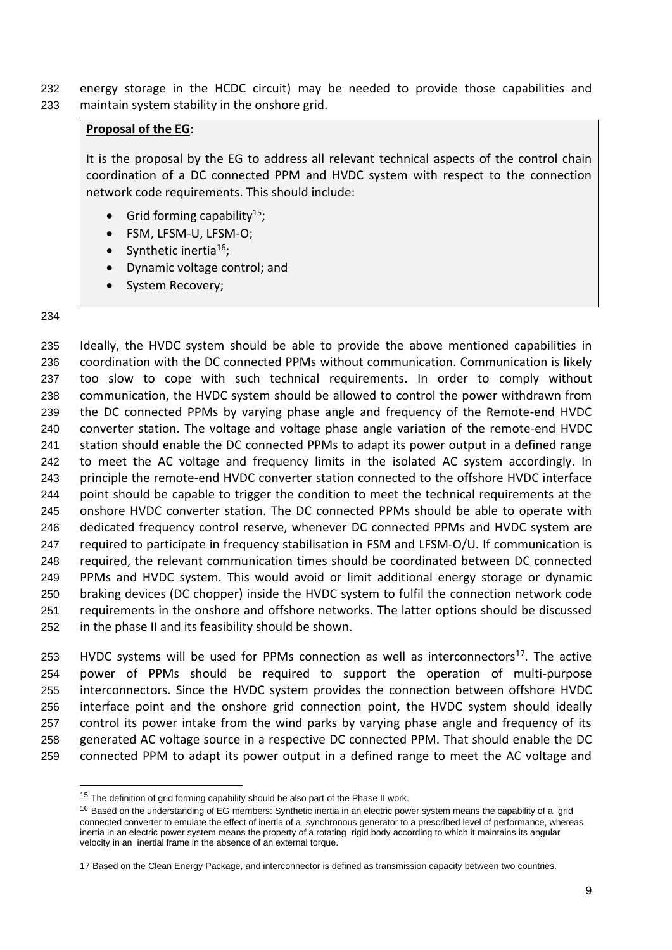energy storage in the HCDC circuit) may be needed to provide those capabilities and maintain system stability in the onshore grid.

#### **Proposal of the EG**:

It is the proposal by the EG to address all relevant technical aspects of the control chain coordination of a DC connected PPM and HVDC system with respect to the connection network code requirements. This should include:

- Grid forming capability<sup>15</sup>;
- FSM, LFSM-U, LFSM-O;
- Synthetic inertia<sup>16</sup>;
- Dynamic voltage control; and
- System Recovery;

#### 

 Ideally, the HVDC system should be able to provide the above mentioned capabilities in coordination with the DC connected PPMs without communication. Communication is likely too slow to cope with such technical requirements. In order to comply without communication, the HVDC system should be allowed to control the power withdrawn from the DC connected PPMs by varying phase angle and frequency of the Remote-end HVDC converter station. The voltage and voltage phase angle variation of the remote-end HVDC station should enable the DC connected PPMs to adapt its power output in a defined range to meet the AC voltage and frequency limits in the isolated AC system accordingly. In principle the remote-end HVDC converter station connected to the offshore HVDC interface 244 point should be capable to trigger the condition to meet the technical requirements at the onshore HVDC converter station. The DC connected PPMs should be able to operate with dedicated frequency control reserve, whenever DC connected PPMs and HVDC system are required to participate in frequency stabilisation in FSM and LFSM-O/U. If communication is required, the relevant communication times should be coordinated between DC connected PPMs and HVDC system. This would avoid or limit additional energy storage or dynamic braking devices (DC chopper) inside the HVDC system to fulfil the connection network code requirements in the onshore and offshore networks. The latter options should be discussed in the phase II and its feasibility should be shown.

253 HVDC systems will be used for PPMs connection as well as interconnectors $^{17}$ . The active power of PPMs should be required to support the operation of multi-purpose interconnectors. Since the HVDC system provides the connection between offshore HVDC interface point and the onshore grid connection point, the HVDC system should ideally control its power intake from the wind parks by varying phase angle and frequency of its generated AC voltage source in a respective DC connected PPM. That should enable the DC connected PPM to adapt its power output in a defined range to meet the AC voltage and

<sup>&</sup>lt;sup>15</sup> The definition of grid forming capability should be also part of the Phase II work.

<sup>&</sup>lt;sup>16</sup> Based on the understanding of EG members: Synthetic inertia in an electric power system means the capability of a grid connected converter to emulate the effect of inertia of a synchronous generator to a prescribed level of performance, whereas inertia in an electric power system means the property of a rotating rigid body according to which it maintains its angular velocity in an inertial frame in the absence of an external torque.

Based on the Clean Energy Package, and interconnector is defined as transmission capacity between two countries.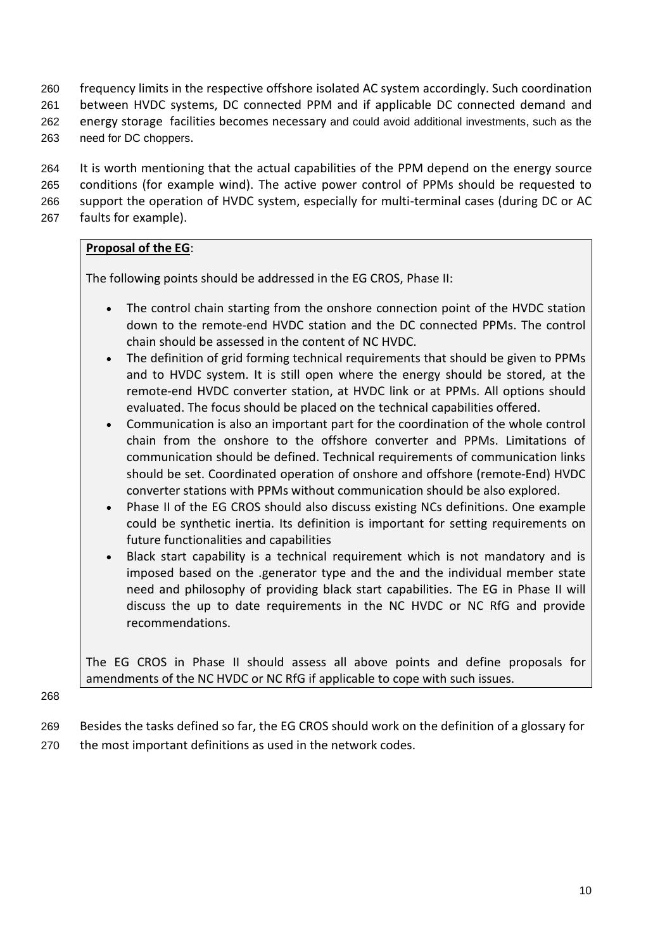frequency limits in the respective offshore isolated AC system accordingly. Such coordination between HVDC systems, DC connected PPM and if applicable DC connected demand and energy storage facilities becomes necessary and could avoid additional investments, such as the need for DC choppers.

 It is worth mentioning that the actual capabilities of the PPM depend on the energy source conditions (for example wind). The active power control of PPMs should be requested to support the operation of HVDC system, especially for multi-terminal cases (during DC or AC faults for example).

#### **Proposal of the EG**:

The following points should be addressed in the EG CROS, Phase II:

- The control chain starting from the onshore connection point of the HVDC station down to the remote-end HVDC station and the DC connected PPMs. The control chain should be assessed in the content of NC HVDC.
- The definition of grid forming technical requirements that should be given to PPMs and to HVDC system. It is still open where the energy should be stored, at the remote-end HVDC converter station, at HVDC link or at PPMs. All options should evaluated. The focus should be placed on the technical capabilities offered.
- Communication is also an important part for the coordination of the whole control chain from the onshore to the offshore converter and PPMs. Limitations of communication should be defined. Technical requirements of communication links should be set. Coordinated operation of onshore and offshore (remote-End) HVDC converter stations with PPMs without communication should be also explored.
- Phase II of the EG CROS should also discuss existing NCs definitions. One example could be synthetic inertia. Its definition is important for setting requirements on future functionalities and capabilities
- Black start capability is a technical requirement which is not mandatory and is imposed based on the .generator type and the and the individual member state need and philosophy of providing black start capabilities. The EG in Phase II will discuss the up to date requirements in the NC HVDC or NC RfG and provide recommendations.

The EG CROS in Phase II should assess all above points and define proposals for amendments of the NC HVDC or NC RfG if applicable to cope with such issues.

- 269 Besides the tasks defined so far, the EG CROS should work on the definition of a glossary for
- 270 the most important definitions as used in the network codes.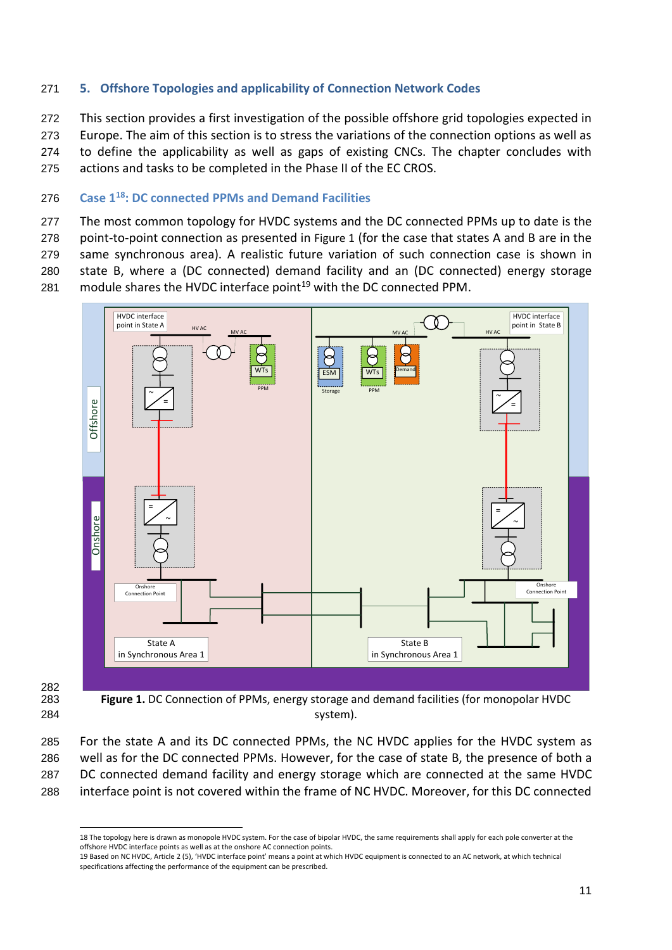#### <span id="page-10-0"></span>271 **5. Offshore Topologies and applicability of Connection Network Codes**

 This section provides a first investigation of the possible offshore grid topologies expected in Europe. The aim of this section is to stress the variations of the connection options as well as to define the applicability as well as gaps of existing CNCs. The chapter concludes with actions and tasks to be completed in the Phase II of the EC CROS.

#### <span id="page-10-1"></span>**Case 1 <sup>18</sup>** 276 **: DC connected PPMs and Demand Facilities**

277 The most common topology for HVDC systems and the DC connected PPMs up to date is the 278 point-to-point connection as presented in [Figure 1](#page-10-2) (for the case that states A and B are in the 279 same synchronous area). A realistic future variation of such connection case is shown in 280 state B, where a (DC connected) demand facility and an (DC connected) energy storage 281 module shares the HVDC interface point<sup>19</sup> with the DC connected PPM.



282

<span id="page-10-2"></span>283 **Figure 1.** DC Connection of PPMs, energy storage and demand facilities (for monopolar HVDC 284 system).

 For the state A and its DC connected PPMs, the NC HVDC applies for the HVDC system as well as for the DC connected PPMs. However, for the case of state B, the presence of both a DC connected demand facility and energy storage which are connected at the same HVDC interface point is not covered within the frame of NC HVDC. Moreover, for this DC connected

<sup>18</sup> The topology here is drawn as monopole HVDC system. For the case of bipolar HVDC, the same requirements shall apply for each pole converter at the offshore HVDC interface points as well as at the onshore AC connection points.

<sup>19</sup> Based on NC HVDC, Article 2 (5), 'HVDC interface point' means a point at which HVDC equipment is connected to an AC network, at which technical specifications affecting the performance of the equipment can be prescribed.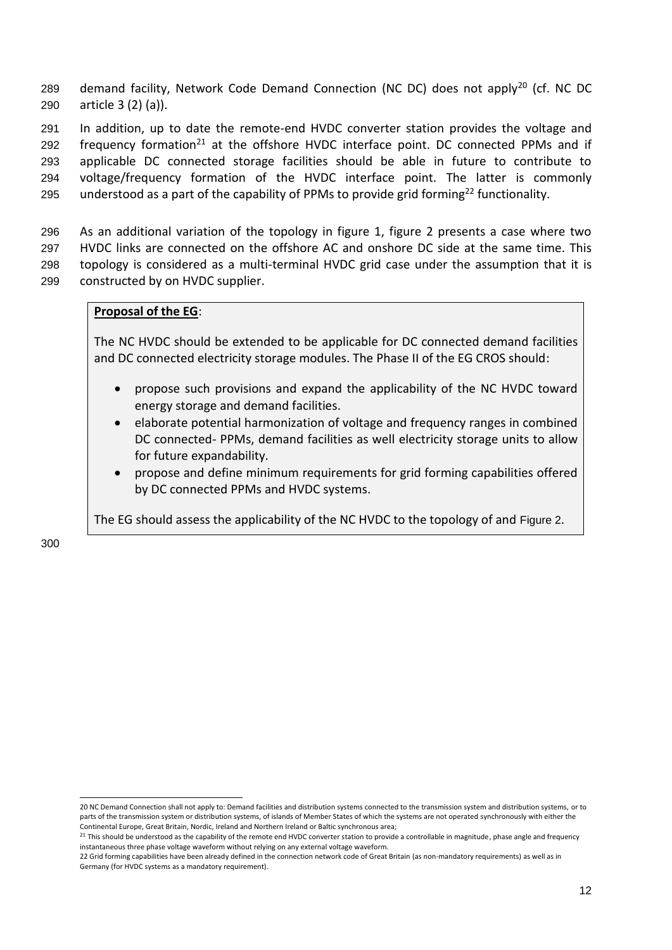289 demand facility, Network Code Demand Connection (NC DC) does not apply<sup>20</sup> (cf. NC DC 290 article 3 (2) (a)).

291 In addition, up to date the remote-end HVDC converter station provides the voltage and 292 frequency formation<sup>21</sup> at the offshore HVDC interface point. DC connected PPMs and if 293 applicable DC connected storage facilities should be able in future to contribute to 294 voltage/frequency formation of the HVDC interface point. The latter is commonly 295 understood as a part of the capability of PPMs to provide grid forming<sup>22</sup> functionality.

 As an additional variation of the topology in figure 1, figure 2 presents a case where two HVDC links are connected on the offshore AC and onshore DC side at the same time. This topology is considered as a multi-terminal HVDC grid case under the assumption that it is constructed by on HVDC supplier.

#### **Proposal of the EG**:

The NC HVDC should be extended to be applicable for DC connected demand facilities and DC connected electricity storage modules. The Phase II of the EG CROS should:

- propose such provisions and expand the applicability of the NC HVDC toward energy storage and demand facilities.
- elaborate potential harmonization of voltage and frequency ranges in combined DC connected- PPMs, demand facilities as well electricity storage units to allow for future expandability.
- propose and define minimum requirements for grid forming capabilities offered by DC connected PPMs and HVDC systems.

The EG should assess the applicability of the NC HVDC to the topology of and [Figure 2](#page-12-1).

<sup>20</sup> NC Demand Connection shall not apply to: Demand facilities and distribution systems connected to the transmission system and distribution systems, or to parts of the transmission system or distribution systems, of islands of Member States of which the systems are not operated synchronously with either the Continental Europe, Great Britain, Nordic, Ireland and Northern Ireland or Baltic synchronous area;

<sup>&</sup>lt;sup>21</sup> This should be understood as the capability of the remote end HVDC converter station to provide a controllable in magnitude, phase angle and frequency instantaneous three phase voltage waveform without relying on any external voltage waveform.

<sup>22</sup> Grid forming capabilities have been already defined in the connection network code of Great Britain (as non-mandatory requirements) as well as in Germany (for HVDC systems as a mandatory requirement).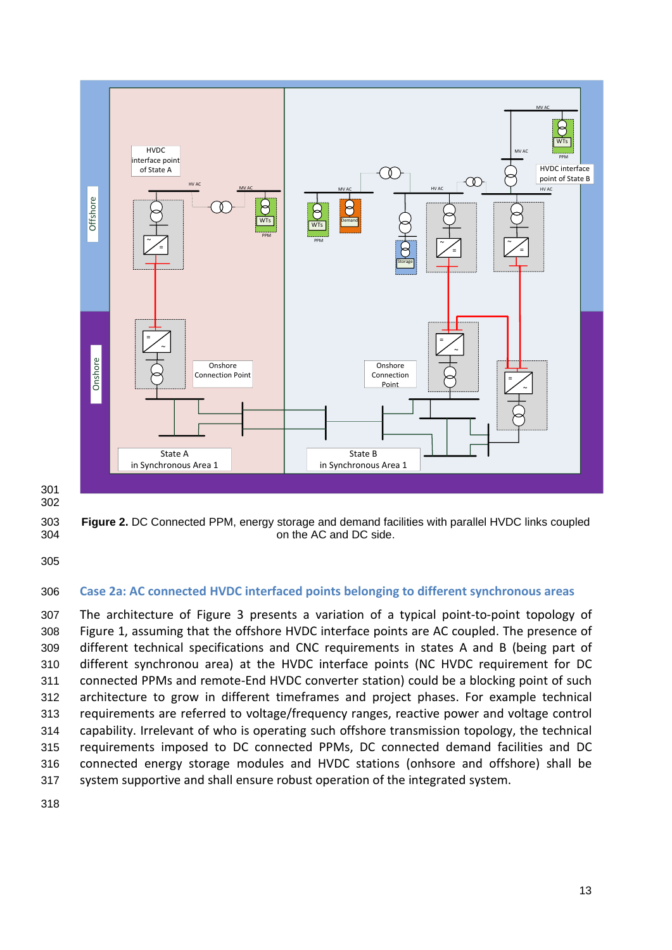

301 302

<span id="page-12-1"></span>303 **Figure 2.** DC Connected PPM, energy storage and demand facilities with parallel HVDC links coupled 304 on the AC and DC side.

305

#### <span id="page-12-0"></span>306 **Case 2a: AC connected HVDC interfaced points belonging to different synchronous areas**

 The architecture of [Figure 3](#page-13-0) presents a variation of a typical point-to-point topology of [Figure 1,](#page-10-2) assuming that the offshore HVDC interface points are AC coupled. The presence of different technical specifications and CNC requirements in states A and B (being part of different synchronou area) at the HVDC interface points (NC HVDC requirement for DC connected PPMs and remote-End HVDC converter station) could be a blocking point of such architecture to grow in different timeframes and project phases. For example technical requirements are referred to voltage/frequency ranges, reactive power and voltage control capability. Irrelevant of who is operating such offshore transmission topology, the technical requirements imposed to DC connected PPMs, DC connected demand facilities and DC connected energy storage modules and HVDC stations (onhsore and offshore) shall be system supportive and shall ensure robust operation of the integrated system.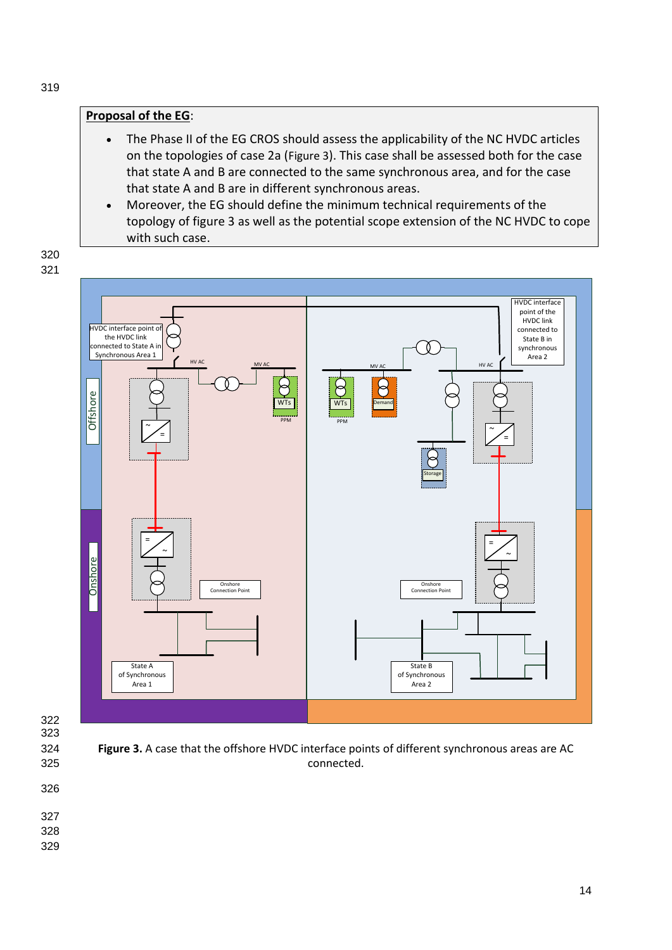#### **Proposal of the EG**:

- The Phase II of the EG CROS should assess the applicability of the NC HVDC articles on the topologies of case 2a ([Figure 3](#page-13-0)). This case shall be assessed both for the case that state A and B are connected to the same synchronous area, and for the case that state A and B are in different synchronous areas.
- Moreover, the EG should define the minimum technical requirements of the topology of figure 3 as well as the potential scope extension of the NC HVDC to cope with such case.

HVDC interface point of the HVDC link HVDC interface point connected to the HVDC link State B in connected to State A Ŏ synchronous Synchronous Area 1 Area 2 HV AC HV AC MV AC MV AC Δ Offshore WTs  $\overline{\text{wr}}$ Demand PPM PPM  $\tilde{\,\,\,\,\,}/$  $\tilde{\phantom{a}}$   $\diagup$ Storage = = ~ ~ **Onshore Onshore** Onshore Connection Point Connection Point State A State Area 1 State B of Synchronous Area 2 State B of Synchronous Area 2 State B of Synchronous Area 2 State B<br>Area 1 Area 2 State B of Synchronous Area 2 State B of Synchronous Area 2 State B of Synchronous Area 2 State of Synchronous



<span id="page-13-0"></span>325 connected.

- 326
- 327
- 328
- 329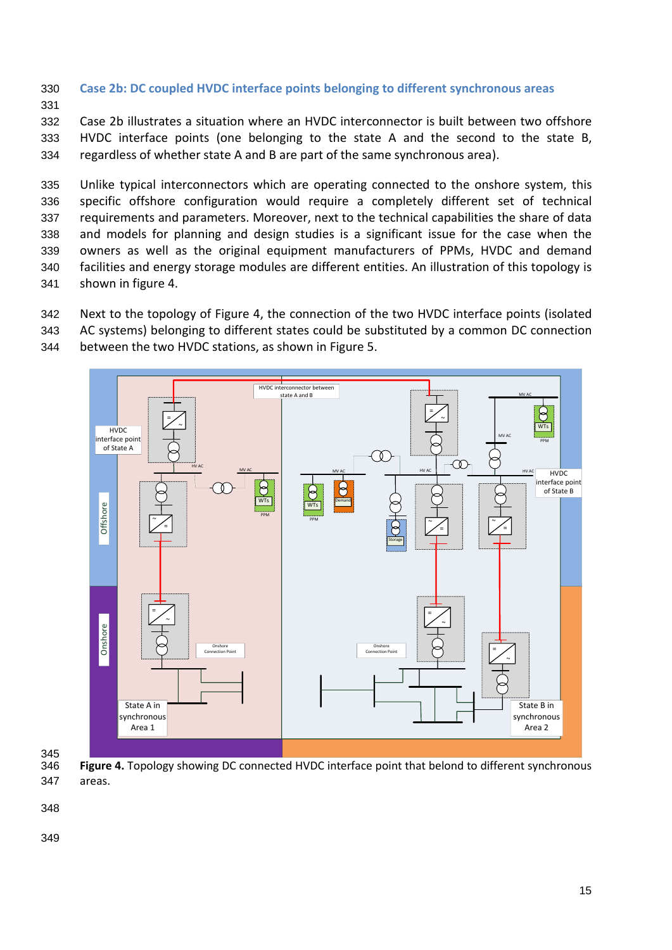- <span id="page-14-0"></span>330 **Case 2b: DC coupled HVDC interface points belonging to different synchronous areas**
- 331

332 Case 2b illustrates a situation where an HVDC interconnector is built between two offshore 333 HVDC interface points (one belonging to the state A and the second to the state B, 334 regardless of whether state A and B are part of the same synchronous area).

 Unlike typical interconnectors which are operating connected to the onshore system, this specific offshore configuration would require a completely different set of technical requirements and parameters. Moreover, next to the technical capabilities the share of data and models for planning and design studies is a significant issue for the case when the owners as well as the original equipment manufacturers of PPMs, HVDC and demand facilities and energy storage modules are different entities. An illustration of this topology is shown in figure 4.

342 Next to the topology of [Figure 4,](#page-14-1) the connection of the two HVDC interface points (isolated

343 AC systems) belonging to different states could be substituted by a common DC connection





345

<span id="page-14-1"></span>346 **Figure 4.** Topology showing DC connected HVDC interface point that belond to different synchronous 347 areas.

348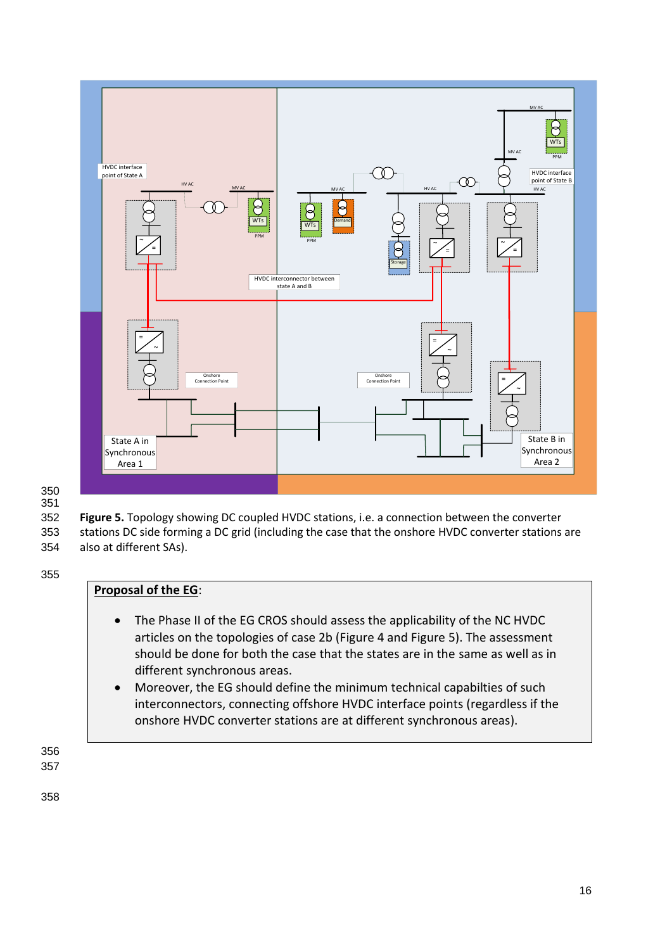

#### 350 351

<span id="page-15-0"></span>352 **Figure 5.** Topology showing DC coupled HVDC stations, i.e. a connection between the converter 353 stations DC side forming a DC grid (including the case that the onshore HVDC converter stations are 354 also at different SAs).

355

### **Proposal of the EG**:

- The Phase II of the EG CROS should assess the applicability of the NC HVDC articles on the topologies of case 2b [\(Figure 4](#page-14-1) and [Figure 5\)](#page-15-0). The assessment should be done for both the case that the states are in the same as well as in different synchronous areas.
- Moreover, the EG should define the minimum technical capabilties of such interconnectors, connecting offshore HVDC interface points (regardless if the onshore HVDC converter stations are at different synchronous areas).

356 357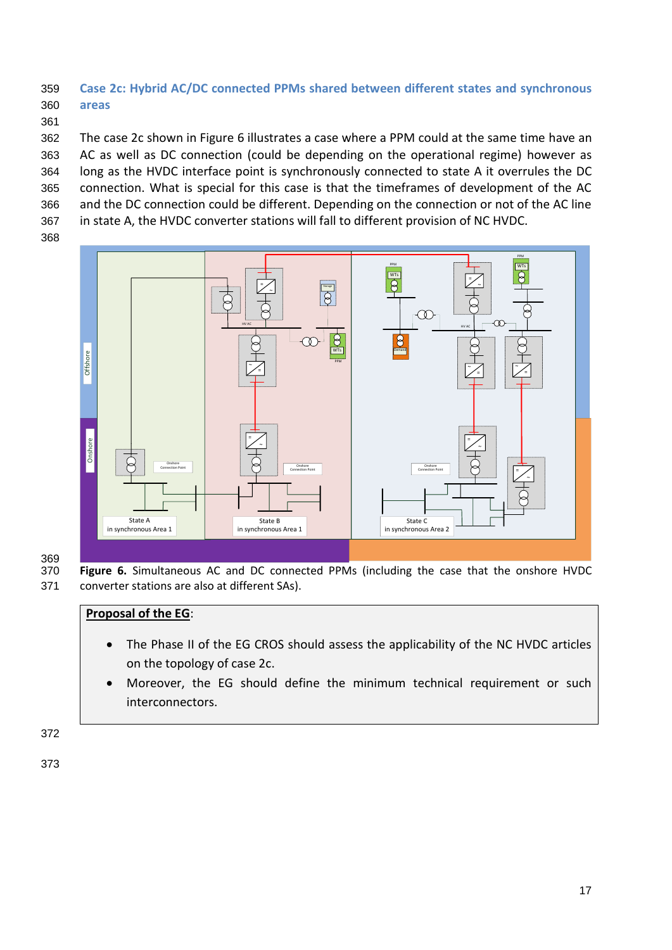## <span id="page-16-0"></span>359 **Case 2c: Hybrid AC/DC connected PPMs shared between different states and synchronous**  360 **areas**

361

 The case 2c shown in Figure 6 illustrates a case where a PPM could at the same time have an AC as well as DC connection (could be depending on the operational regime) however as long as the HVDC interface point is synchronously connected to state A it overrules the DC connection. What is special for this case is that the timeframes of development of the AC and the DC connection could be different. Depending on the connection or not of the AC line in state A, the HVDC converter stations will fall to different provision of NC HVDC.

368



369<br>370 Figure 6. Simultaneous AC and DC connected PPMs (including the case that the onshore HVDC 371 converter stations are also at different SAs).

### **Proposal of the EG**:

- The Phase II of the EG CROS should assess the applicability of the NC HVDC articles on the topology of case 2c.
- Moreover, the EG should define the minimum technical requirement or such interconnectors.

372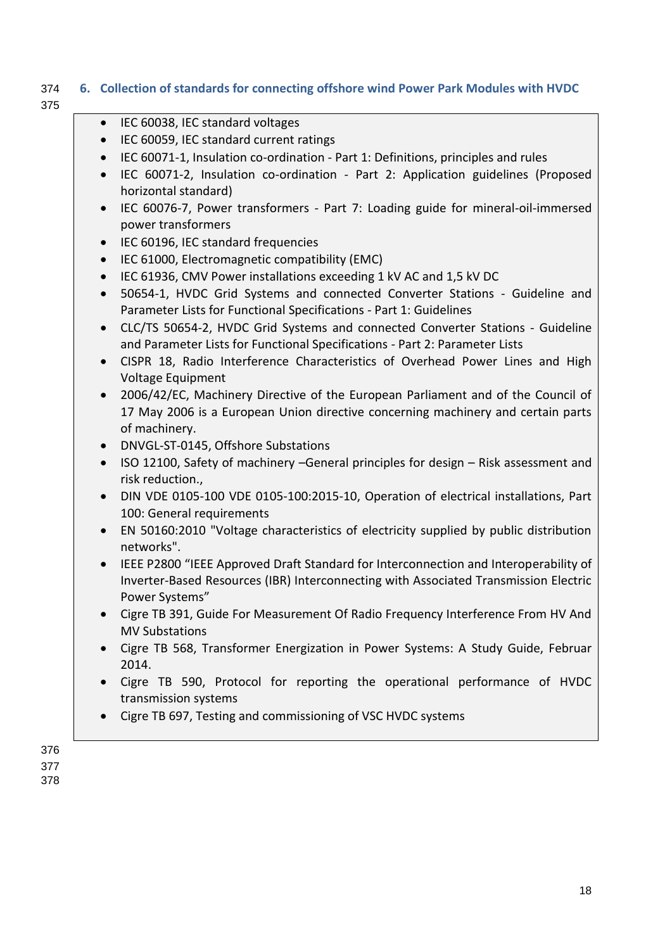# 374 **6. Collection of standards for connecting offshore wind Power Park Modules with HVDC**

375

<span id="page-17-0"></span>

| $\bullet$ | IEC 60038, IEC standard voltages                                                                                                                                                               |
|-----------|------------------------------------------------------------------------------------------------------------------------------------------------------------------------------------------------|
| $\bullet$ | IEC 60059, IEC standard current ratings                                                                                                                                                        |
| $\bullet$ | IEC 60071-1, Insulation co-ordination - Part 1: Definitions, principles and rules                                                                                                              |
| $\bullet$ | IEC 60071-2, Insulation co-ordination - Part 2: Application guidelines (Proposed<br>horizontal standard)                                                                                       |
| $\bullet$ | IEC 60076-7, Power transformers - Part 7: Loading guide for mineral-oil-immersed                                                                                                               |
|           | power transformers                                                                                                                                                                             |
| $\bullet$ | IEC 60196, IEC standard frequencies                                                                                                                                                            |
| $\bullet$ | IEC 61000, Electromagnetic compatibility (EMC)                                                                                                                                                 |
| $\bullet$ | IEC 61936, CMV Power installations exceeding 1 kV AC and 1,5 kV DC                                                                                                                             |
| $\bullet$ | 50654-1, HVDC Grid Systems and connected Converter Stations - Guideline and<br>Parameter Lists for Functional Specifications - Part 1: Guidelines                                              |
| $\bullet$ | CLC/TS 50654-2, HVDC Grid Systems and connected Converter Stations - Guideline<br>and Parameter Lists for Functional Specifications - Part 2: Parameter Lists                                  |
| $\bullet$ | CISPR 18, Radio Interference Characteristics of Overhead Power Lines and High<br>Voltage Equipment                                                                                             |
| $\bullet$ | 2006/42/EC, Machinery Directive of the European Parliament and of the Council of<br>17 May 2006 is a European Union directive concerning machinery and certain parts<br>of machinery.          |
| $\bullet$ | DNVGL-ST-0145, Offshore Substations                                                                                                                                                            |
| $\bullet$ | ISO 12100, Safety of machinery -General principles for design - Risk assessment and<br>risk reduction.,                                                                                        |
| $\bullet$ | DIN VDE 0105-100 VDE 0105-100:2015-10, Operation of electrical installations, Part<br>100: General requirements                                                                                |
| $\bullet$ | EN 50160:2010 "Voltage characteristics of electricity supplied by public distribution<br>networks".                                                                                            |
| $\bullet$ | IEEE P2800 "IEEE Approved Draft Standard for Interconnection and Interoperability of<br>Inverter-Based Resources (IBR) Interconnecting with Associated Transmission Electric<br>Power Systems" |
| $\bullet$ | Cigre TB 391, Guide For Measurement Of Radio Frequency Interference From HV And<br><b>MV Substations</b>                                                                                       |
|           | Cigre TB 568, Transformer Energization in Power Systems: A Study Guide, Februar<br>2014.                                                                                                       |
|           | Cigre TB 590, Protocol for reporting the operational performance of HVDC<br>transmission systems                                                                                               |
|           | Cigre TB 697, Testing and commissioning of VSC HVDC systems                                                                                                                                    |